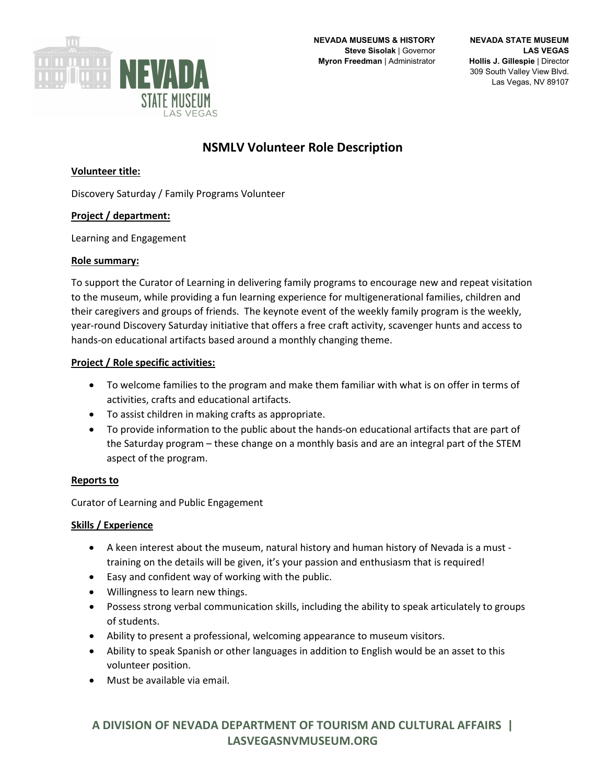

# **NSMLV Volunteer Role Description**

#### **Volunteer title:**

Discovery Saturday / Family Programs Volunteer

### **Project / department:**

Learning and Engagement

#### **Role summary:**

To support the Curator of Learning in delivering family programs to encourage new and repeat visitation to the museum, while providing a fun learning experience for multigenerational families, children and their caregivers and groups of friends. The keynote event of the weekly family program is the weekly, year-round Discovery Saturday initiative that offers a free craft activity, scavenger hunts and access to hands-on educational artifacts based around a monthly changing theme.

#### **Project / Role specific activities:**

- To welcome families to the program and make them familiar with what is on offer in terms of activities, crafts and educational artifacts.
- To assist children in making crafts as appropriate.
- To provide information to the public about the hands-on educational artifacts that are part of the Saturday program – these change on a monthly basis and are an integral part of the STEM aspect of the program.

#### **Reports to**

Curator of Learning and Public Engagement

#### **Skills / Experience**

- A keen interest about the museum, natural history and human history of Nevada is a must training on the details will be given, it's your passion and enthusiasm that is required!
- Easy and confident way of working with the public.
- Willingness to learn new things.
- Possess strong verbal communication skills, including the ability to speak articulately to groups of students.
- Ability to present a professional, welcoming appearance to museum visitors.
- Ability to speak Spanish or other languages in addition to English would be an asset to this volunteer position.
- Must be available via email.

## **A DIVISION OF NEVADA DEPARTMENT OF TOURISM AND CULTURAL AFFAIRS | LASVEGASNVMUSEUM.ORG**